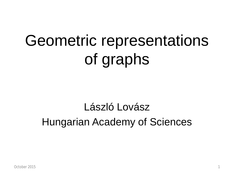# Geometric representations of graphs

# László Lovász Hungarian Academy of Sciences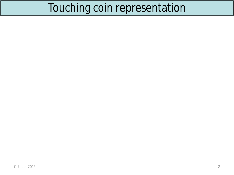## Touching coin representation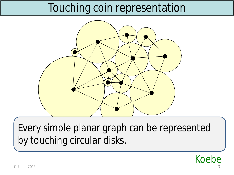## Touching coin representation



Every simple planar graph can be represented by touching circular disks.

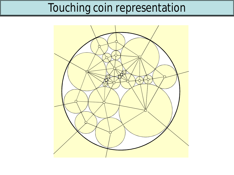## Touching coin representation

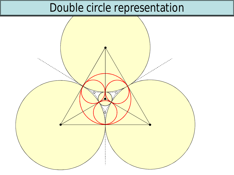## Double circle representation

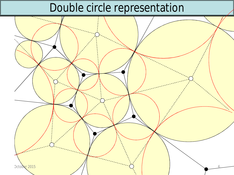## Double circle representation

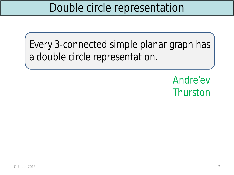Every 3-connected simple planar graph has a double circle representation.

> Andre'ev **Thurston**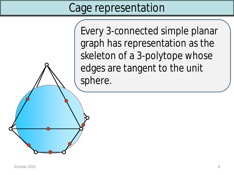## Cage representation

Every 3-connected simple planar graph has representation as the skeleton of a 3-polytope whose edges are tangent to the unit sphere.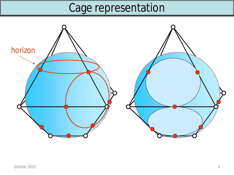# Cage representation

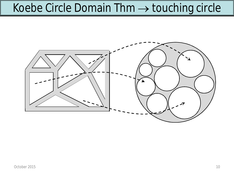## Koebe Circle Domain Thm  $\rightarrow$  touching circle

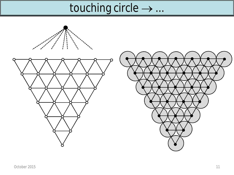# touching circle  $\rightarrow \dots$

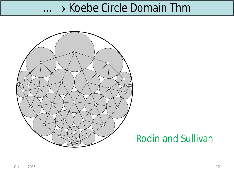#### $... \rightarrow$  Koebe Circle Domain Thm



#### Rodin and Sullivan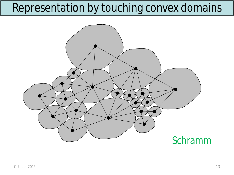## Representation by touching convex domains

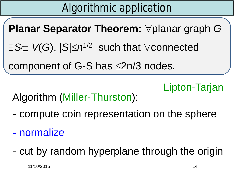# Algorithmic application

**Planar Separator Theorem:**  $\forall$  planar graph *G* 

 $\exists S \subseteq V(G)$ ,  $|S| \leq n^{1/2}$  such that  $\forall$  connected

component of G-S has  $\leq$ 2n/3 nodes.

Lipton-Tarjan

#### Algorithm (Miller-Thurston):

- compute coin representation on the sphere

- normalize

- cut by random hyperplane through the origin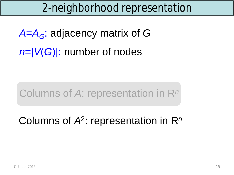## 2-neighborhood representation

*A*=*AG*: adjacency matrix of *G n*=|*V*(*G*)|: number of nodes

#### Columns of *A*: representation in R*<sup>n</sup>*

## Columns of *A*<sup>2</sup> : representation in R*n*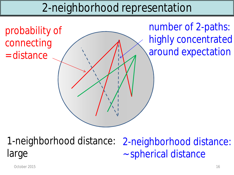## 2-neighborhood representation



1-neighborhood distance: large 2-neighborhood distance: ~ spherical distance

October 2015 16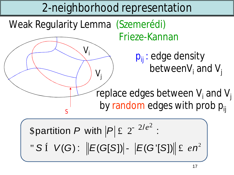#### Weak Regularity Lemma (Szemerédi) Frieze-Kannan *S* replace edges between *V<sup>i</sup>* and *V<sup>j</sup>* by random edges with prob *pij Vi Vj pij* : edge density between*V<sup>i</sup>* and *V<sup>j</sup>* 2-neighborhood representation

\n
$$
\text{partition } P \text{ with } |P| \pounds 2^{-2/e^2}:
$$
\n

\n\n $\text{S} \text{ if } V(G): \|E(G[S])| - |E(G[S])| \| \pounds en^2$ \n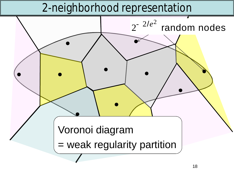### 2-neighborhood representation

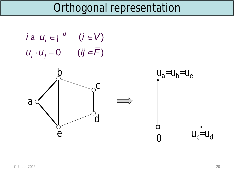

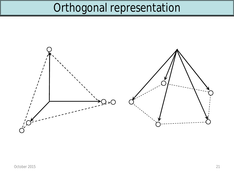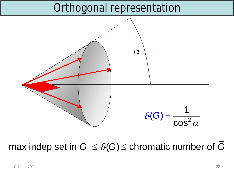

#### max indep set in  $G \leq \mathcal{G}(G) \leq$  chromatic number of  $G$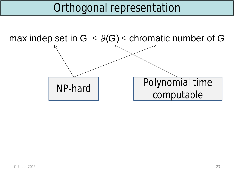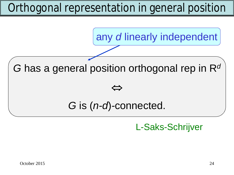# Orthogonal representation in general position



*G* has a general position orthogonal rep in R*<sup>d</sup>*

#### $\Leftrightarrow$

#### *G* is (*n-d*)*-*connected.

L-Saks-Schrijver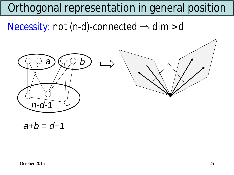# Orthogonal representation in general position

Necessity: not  $(n-d)$ -connected  $\Rightarrow$  dim > *d* 



 $a + b = d + 1$ 

October 2015 25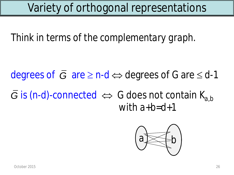*Think in terms of the complementary graph.*

 $\overline{G}$  is (*n*-*d*)-connected  $\Leftrightarrow$  *G* does not contain  $K_{a,b}$ with *a*+*b*=*d*+1 degrees of  $\overline{G}$  are  $\geq$  *n-d*  $\Leftrightarrow$  degrees of G are  $\leq d$ -1

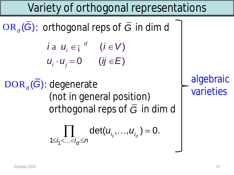$OR_{d}(G)$ : orthogonal reps of  $\overline{G}$  in dim *d* 

$$
\begin{aligned}\ni \mathbf{a} \ \mathbf{u}_i &\in \mathbf{i} \ \mathbf{u}_i & \mathbf{u}_j & \in \mathbf{V} \\
\mathbf{u}_i \cdot \mathbf{u}_j &= \mathbf{0} \ \ (\mathbf{ij} \in \mathbf{E})\n\end{aligned}
$$

DOR<sub>d</sub>(G): degenerate (not in general position) orthogonal reps of  $\overline{G}$  in dim  $d$ 

$$
\prod_{1\leq i_1<\ldots
$$

algebraic varieties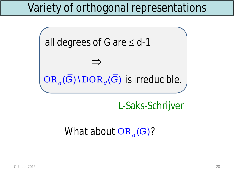

L-Saks-Schrijver

#### *What about*  $OR_{d}(G)?$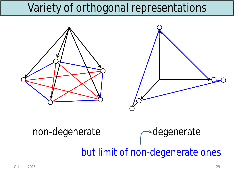

# non-degenerate redegenerate but limit of non-degenerate ones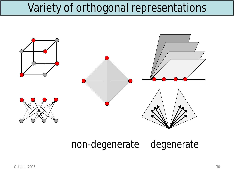

non-degenerate degenerate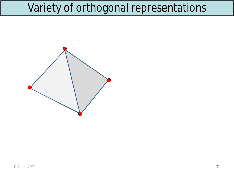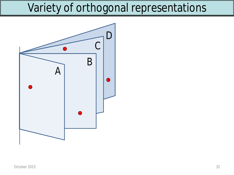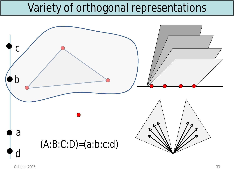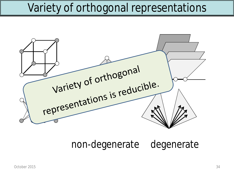

non-degenerate degenerate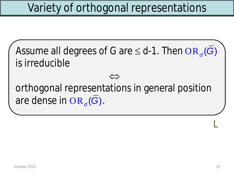Assume all degrees of *G* are  $\leq d$ -1. Then OR<sub>d</sub>( $\overline{G}$ ) is irreducible

orthogonal representations in general position are dense in  $OR_{d}(G)$ .

 $\qquad \qquad \qquad$ 

L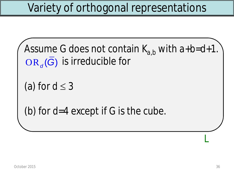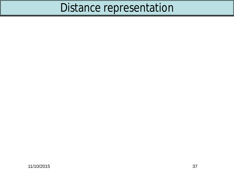# Distance representation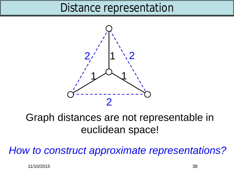#### Distance representation



#### Graph distances are not representable in euclidean space!

*How to construct approximate representations?*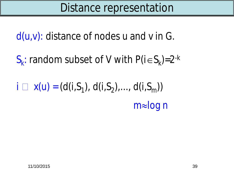*d*(*u*,*v*): distance of nodes *u* and *v* in *G*.

 $S_k$ : random subset of *V* with  $P(i \in S_k) = 2^{-k}$ 

 $i \square$   $x(u) = (d(i, S_1), d(i, S_2), ..., d(i, S_m))$ *m*»log *n*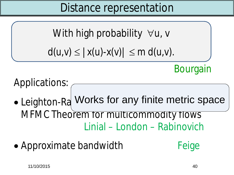Distance representation

With high probability  $\forall u, v$ 

$$
d(u,v) \leq |x(u)-x(v)| \leq m d(u,v).
$$

Bourgain

Applications:

- Leighton-Ra Works for any finite metric space MFMC Theorem for multicommodity flows Linial – London – Rabinovich
- Approximate bandwidth Feige